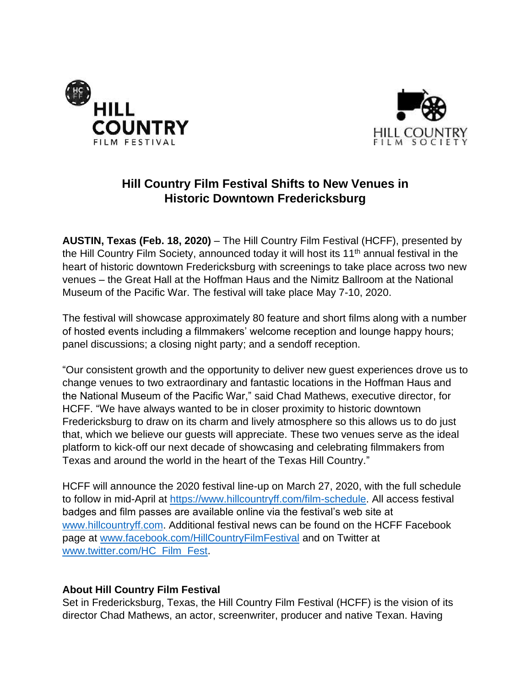



## **Hill Country Film Festival Shifts to New Venues in Historic Downtown Fredericksburg**

**AUSTIN, Texas (Feb. 18, 2020)** – The Hill Country Film Festival (HCFF), presented by the Hill Country Film Society, announced today it will host its  $11<sup>th</sup>$  annual festival in the heart of historic downtown Fredericksburg with screenings to take place across two new venues – the Great Hall at the Hoffman Haus and the Nimitz Ballroom at the National Museum of the Pacific War. The festival will take place May 7-10, 2020.

The festival will showcase approximately 80 feature and short films along with a number of hosted events including a filmmakers' welcome reception and lounge happy hours; panel discussions; a closing night party; and a sendoff reception.

"Our consistent growth and the opportunity to deliver new guest experiences drove us to change venues to two extraordinary and fantastic locations in the Hoffman Haus and the National Museum of the Pacific War," said Chad Mathews, executive director, for HCFF. "We have always wanted to be in closer proximity to historic downtown Fredericksburg to draw on its charm and lively atmosphere so this allows us to do just that, which we believe our guests will appreciate. These two venues serve as the ideal platform to kick-off our next decade of showcasing and celebrating filmmakers from Texas and around the world in the heart of the Texas Hill Country."

HCFF will announce the 2020 festival line-up on March 27, 2020, with the full schedule to follow in mid-April at [https://www.hillcountryff.com/film-schedule.](https://www.hillcountryff.com/film-schedule) All access festival badges and film passes are available online via the festival's web site at [www.hillcountryff.com.](http://www.hillcountryff.com/) Additional festival news can be found on the HCFF Facebook page at [www.facebook.com/HillCountryFilmFestival](http://www.facebook.com/HillCountryFilmFestival) and on Twitter at [www.twitter.com/HC\\_Film\\_Fest.](http://www.twitter.com/HC_Film_Fest)

## **About Hill Country Film Festival**

Set in Fredericksburg, Texas, the Hill Country Film Festival (HCFF) is the vision of its director Chad Mathews, an actor, screenwriter, producer and native Texan. Having